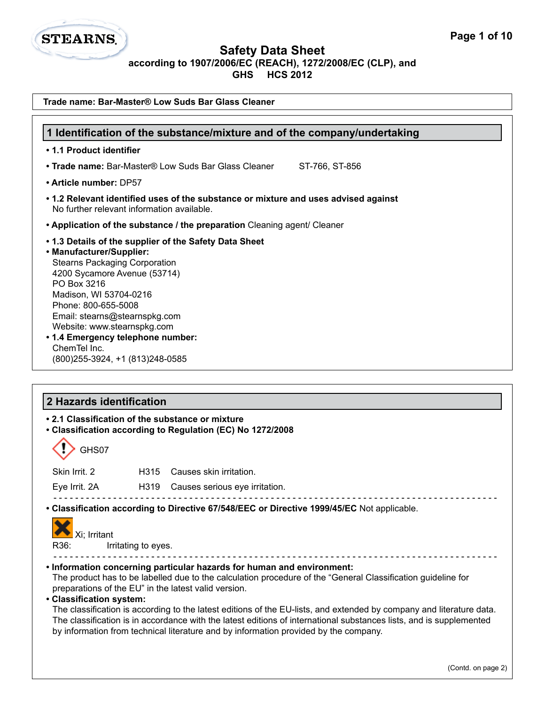

| Trade name: Bar-Master® Low Suds Bar Glass Cleaner                                                                                                                                                                                                                                                                                                                                  |                                                                                                                                                             |                                                                                                                                                                                                                                                                                                                                                                                                                                                                                                                                                                                                                                                                                     |                    |  |
|-------------------------------------------------------------------------------------------------------------------------------------------------------------------------------------------------------------------------------------------------------------------------------------------------------------------------------------------------------------------------------------|-------------------------------------------------------------------------------------------------------------------------------------------------------------|-------------------------------------------------------------------------------------------------------------------------------------------------------------------------------------------------------------------------------------------------------------------------------------------------------------------------------------------------------------------------------------------------------------------------------------------------------------------------------------------------------------------------------------------------------------------------------------------------------------------------------------------------------------------------------------|--------------------|--|
|                                                                                                                                                                                                                                                                                                                                                                                     |                                                                                                                                                             |                                                                                                                                                                                                                                                                                                                                                                                                                                                                                                                                                                                                                                                                                     |                    |  |
| 1 Identification of the substance/mixture and of the company/undertaking<br>• 1.1 Product identifier                                                                                                                                                                                                                                                                                |                                                                                                                                                             |                                                                                                                                                                                                                                                                                                                                                                                                                                                                                                                                                                                                                                                                                     |                    |  |
|                                                                                                                                                                                                                                                                                                                                                                                     |                                                                                                                                                             | • Trade name: Bar-Master® Low Suds Bar Glass Cleaner<br>ST-766, ST-856                                                                                                                                                                                                                                                                                                                                                                                                                                                                                                                                                                                                              |                    |  |
|                                                                                                                                                                                                                                                                                                                                                                                     |                                                                                                                                                             |                                                                                                                                                                                                                                                                                                                                                                                                                                                                                                                                                                                                                                                                                     |                    |  |
|                                                                                                                                                                                                                                                                                                                                                                                     | • Article number: DP57<br>• 1.2 Relevant identified uses of the substance or mixture and uses advised against<br>No further relevant information available. |                                                                                                                                                                                                                                                                                                                                                                                                                                                                                                                                                                                                                                                                                     |                    |  |
|                                                                                                                                                                                                                                                                                                                                                                                     |                                                                                                                                                             | • Application of the substance / the preparation Cleaning agent/ Cleaner                                                                                                                                                                                                                                                                                                                                                                                                                                                                                                                                                                                                            |                    |  |
| .1.3 Details of the supplier of the Safety Data Sheet<br>• Manufacturer/Supplier:<br><b>Stearns Packaging Corporation</b><br>4200 Sycamore Avenue (53714)<br>PO Box 3216<br>Madison, WI 53704-0216<br>Phone: 800-655-5008<br>Email: stearns@stearnspkg.com<br>Website: www.stearnspkg.com<br>• 1.4 Emergency telephone number:<br>ChemTel Inc.<br>(800) 255-3924, +1 (813) 248-0585 |                                                                                                                                                             |                                                                                                                                                                                                                                                                                                                                                                                                                                                                                                                                                                                                                                                                                     |                    |  |
| 2 Hazards identification                                                                                                                                                                                                                                                                                                                                                            |                                                                                                                                                             | • 2.1 Classification of the substance or mixture<br>• Classification according to Regulation (EC) No 1272/2008                                                                                                                                                                                                                                                                                                                                                                                                                                                                                                                                                                      |                    |  |
| GHS07                                                                                                                                                                                                                                                                                                                                                                               |                                                                                                                                                             |                                                                                                                                                                                                                                                                                                                                                                                                                                                                                                                                                                                                                                                                                     |                    |  |
| Skin Irrit. 2                                                                                                                                                                                                                                                                                                                                                                       | H315                                                                                                                                                        | Causes skin irritation.                                                                                                                                                                                                                                                                                                                                                                                                                                                                                                                                                                                                                                                             |                    |  |
| Eye Irrit. 2A                                                                                                                                                                                                                                                                                                                                                                       | H319                                                                                                                                                        | Causes serious eye irritation.                                                                                                                                                                                                                                                                                                                                                                                                                                                                                                                                                                                                                                                      |                    |  |
| Xi; Irritant<br>R36:<br>• Classification system:                                                                                                                                                                                                                                                                                                                                    | Irritating to eyes.                                                                                                                                         | • Classification according to Directive 67/548/EEC or Directive 1999/45/EC Not applicable.<br>. Information concerning particular hazards for human and environment:<br>The product has to be labelled due to the calculation procedure of the "General Classification guideline for<br>preparations of the EU" in the latest valid version.<br>The classification is according to the latest editions of the EU-lists, and extended by company and literature data.<br>The classification is in accordance with the latest editions of international substances lists, and is supplemented<br>by information from technical literature and by information provided by the company. |                    |  |
|                                                                                                                                                                                                                                                                                                                                                                                     |                                                                                                                                                             |                                                                                                                                                                                                                                                                                                                                                                                                                                                                                                                                                                                                                                                                                     | (Contd. on page 2) |  |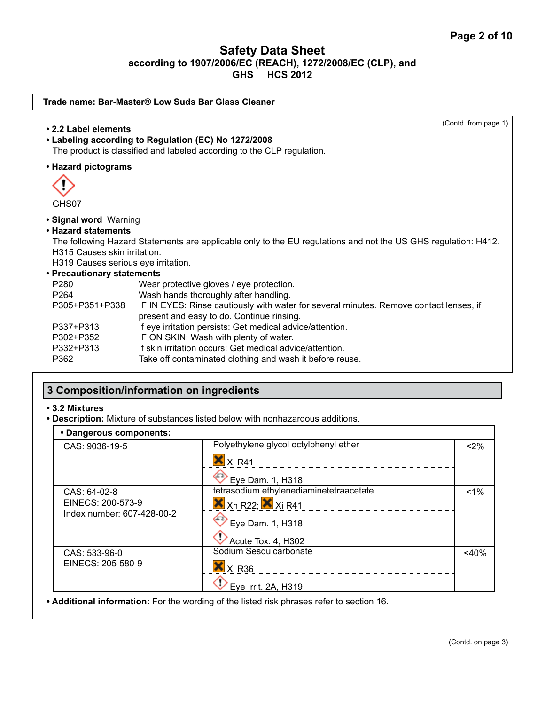| Trade name: Bar-Master® Low Suds Bar Glass Cleaner                                                                                                                                               |                                                                                                                                                                                                                                                                                                                                            |  |  |
|--------------------------------------------------------------------------------------------------------------------------------------------------------------------------------------------------|--------------------------------------------------------------------------------------------------------------------------------------------------------------------------------------------------------------------------------------------------------------------------------------------------------------------------------------------|--|--|
| • 2.2 Label elements                                                                                                                                                                             | (Contd. from page 1)<br>• Labeling according to Regulation (EC) No 1272/2008<br>The product is classified and labeled according to the CLP regulation.                                                                                                                                                                                     |  |  |
| • Hazard pictograms                                                                                                                                                                              |                                                                                                                                                                                                                                                                                                                                            |  |  |
| GHS07                                                                                                                                                                                            |                                                                                                                                                                                                                                                                                                                                            |  |  |
| • Signal word Warning<br>• Hazard statements<br>H315 Causes skin irritation.<br>H319 Causes serious eye irritation.<br>• Precautionary statements<br>P280<br>P264<br>P305+P351+P338<br>P337+P313 | The following Hazard Statements are applicable only to the EU regulations and not the US GHS regulation: H412.<br>Wear protective gloves / eye protection.<br>Wash hands thoroughly after handling.<br>IF IN EYES: Rinse cautiously with water for several minutes. Remove contact lenses, if<br>present and easy to do. Continue rinsing. |  |  |
| P302+P352                                                                                                                                                                                        | If eye irritation persists: Get medical advice/attention.<br>IF ON SKIN: Wash with plenty of water.                                                                                                                                                                                                                                        |  |  |
| P332+P313                                                                                                                                                                                        | If skin irritation occurs: Get medical advice/attention.                                                                                                                                                                                                                                                                                   |  |  |
| P362                                                                                                                                                                                             | Take off contaminated clothing and wash it before reuse.                                                                                                                                                                                                                                                                                   |  |  |
|                                                                                                                                                                                                  | 3 Composition/information on ingredients                                                                                                                                                                                                                                                                                                   |  |  |

## **• 3.2 Mixtures**

**• Description:** Mixture of substances listed below with nonhazardous additions.

| • Dangerous components:                         |                                                                       |         |
|-------------------------------------------------|-----------------------------------------------------------------------|---------|
| CAS: 9036-19-5                                  | Polyethylene glycol octylphenyl ether                                 | $< 2\%$ |
|                                                 | $\overline{\mathsf{X}}$ Xi R41                                        |         |
|                                                 | Eye Dam. 1, H318                                                      |         |
| CAS: 64-02-8                                    | tetrasodium ethylenediaminetetraacetate                               | $1\%$   |
| EINECS: 200-573-9<br>Index number: 607-428-00-2 | $X$ <sub>Xn</sub> R <sub>22</sub> ; $X$ <sub>Xi</sub> R <sub>41</sub> |         |
|                                                 | Eye Dam. 1, H318                                                      |         |
|                                                 | Acute Tox. 4, H302                                                    |         |
| CAS: 533-96-0                                   | Sodium Sesquicarbonate                                                | $<$ 40% |
| EINECS: 205-580-9                               | $X$ Xi R36                                                            |         |
|                                                 | Eye Irrit. 2A, H319                                                   |         |

**• Additional information:** For the wording of the listed risk phrases refer to section 16.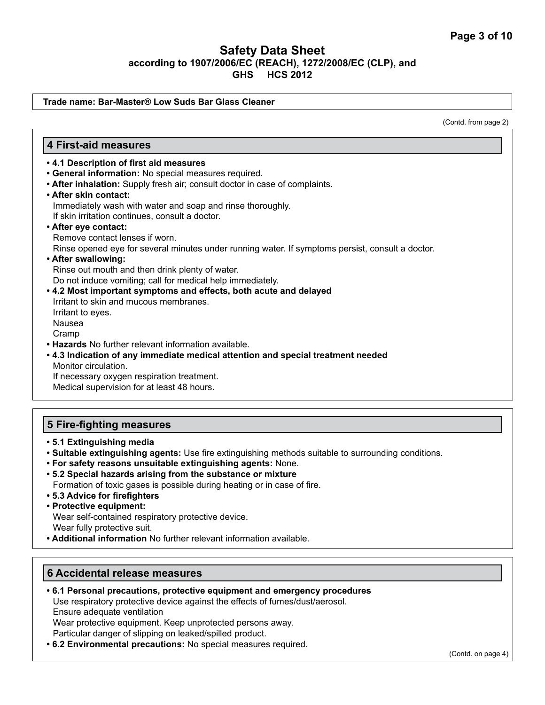#### **Trade name: Bar-Master® Low Suds Bar Glass Cleaner**

(Contd. from page 2)

#### **4 First-aid measures**

- **4.1 Description of first aid measures**
- **General information:** No special measures required.
- **After inhalation:** Supply fresh air; consult doctor in case of complaints.
- **After skin contact:** Immediately wash with water and soap and rinse thoroughly. If skin irritation continues, consult a doctor.
- **After eye contact:**

Remove contact lenses if worn.

Rinse opened eye for several minutes under running water. If symptoms persist, consult a doctor.

**• After swallowing:** 

Rinse out mouth and then drink plenty of water. Do not induce vomiting; call for medical help immediately.

- **4.2 Most important symptoms and effects, both acute and delayed**  Irritant to skin and mucous membranes. Irritant to eyes. Nausea Cramp
- **Hazards** No further relevant information available.
- **4.3 Indication of any immediate medical attention and special treatment needed** Monitor circulation. If necessary oxygen respiration treatment.

Medical supervision for at least 48 hours.

#### **5 Fire-fighting measures**

- **5.1 Extinguishing media**
- **Suitable extinguishing agents:** Use fire extinguishing methods suitable to surrounding conditions.
- **For safety reasons unsuitable extinguishing agents:** None.
- **5.2 Special hazards arising from the substance or mixture** Formation of toxic gases is possible during heating or in case of fire.
- **5.3 Advice for firefighters**
- **Protective equipment:**

Wear self-contained respiratory protective device. Wear fully protective suit.

**• Additional information** No further relevant information available.

### **6 Accidental release measures**

- **6.1 Personal precautions, protective equipment and emergency procedures** Use respiratory protective device against the effects of fumes/dust/aerosol. Ensure adequate ventilation Wear protective equipment. Keep unprotected persons away. Particular danger of slipping on leaked/spilled product.
- **6.2 Environmental precautions:** No special measures required.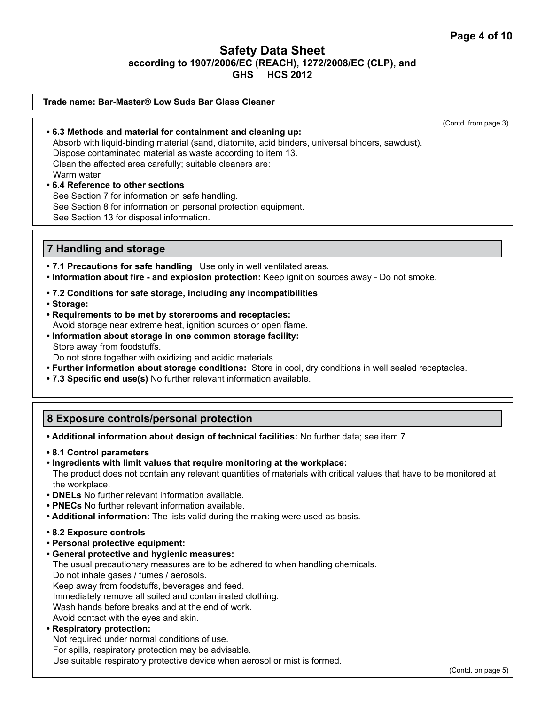#### **Trade name: Bar-Master® Low Suds Bar Glass Cleaner**

(Contd. from page 3)

**• 6.3 Methods and material for containment and cleaning up:** Absorb with liquid-binding material (sand, diatomite, acid binders, universal binders, sawdust). Dispose contaminated material as waste according to item 13. Clean the affected area carefully; suitable cleaners are: Warm water

# **• 6.4 Reference to other sections**

See Section 7 for information on safe handling. See Section 8 for information on personal protection equipment. See Section 13 for disposal information.

#### **7 Handling and storage**

- **7.1 Precautions for safe handling** Use only in well ventilated areas.
- **Information about fire and explosion protection:** Keep ignition sources away Do not smoke.
- **7.2 Conditions for safe storage, including any incompatibilities**
- **Storage:**
- **Requirements to be met by storerooms and receptacles:** Avoid storage near extreme heat, ignition sources or open flame.
- **Information about storage in one common storage facility:** Store away from foodstuffs.

Do not store together with oxidizing and acidic materials.

- **Further information about storage conditions:** Store in cool, dry conditions in well sealed receptacles.
- **7.3 Specific end use(s)** No further relevant information available.

## **8 Exposure controls/personal protection**

**• Additional information about design of technical facilities:** No further data; see item 7.

- **8.1 Control parameters**
- **Ingredients with limit values that require monitoring at the workplace:** The product does not contain any relevant quantities of materials with critical values that have to be monitored at the workplace.
- **DNELs** No further relevant information available.
- **PNECs** No further relevant information available.
- **Additional information:** The lists valid during the making were used as basis.
- **8.2 Exposure controls**
- **Personal protective equipment:**
- **General protective and hygienic measures:**

The usual precautionary measures are to be adhered to when handling chemicals.

Do not inhale gases / fumes / aerosols.

Keep away from foodstuffs, beverages and feed.

Immediately remove all soiled and contaminated clothing.

Wash hands before breaks and at the end of work.

Avoid contact with the eyes and skin.

### **• Respiratory protection:**

Not required under normal conditions of use.

For spills, respiratory protection may be advisable.

Use suitable respiratory protective device when aerosol or mist is formed.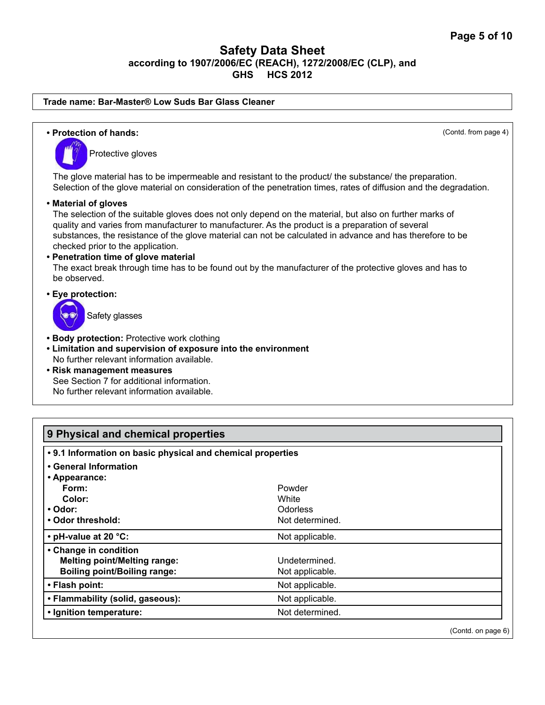#### **Trade name: Bar-Master® Low Suds Bar Glass Cleaner**

**• Protection of hands:** (Contd. from page 4) Protective gloves The glove material has to be impermeable and resistant to the product/ the substance/ the preparation. Selection of the glove material on consideration of the penetration times, rates of diffusion and the degradation. **• Material of gloves** The selection of the suitable gloves does not only depend on the material, but also on further marks of quality and varies from manufacturer to manufacturer. As the product is a preparation of several substances, the resistance of the glove material can not be calculated in advance and has therefore to be checked prior to the application. **• Penetration time of glove material** The exact break through time has to be found out by the manufacturer of the protective gloves and has to be observed. **• Eye protection:**  Safety glasses **• Body protection:** Protective work clothing **• Limitation and supervision of exposure into the environment** No further relevant information available. **• Risk management measures** See Section 7 for additional information. No further relevant information available.

| 9 Physical and chemical properties                          |                 |  |
|-------------------------------------------------------------|-----------------|--|
| . 9.1 Information on basic physical and chemical properties |                 |  |
| • General Information                                       |                 |  |
| • Appearance:                                               |                 |  |
| Form:                                                       | Powder          |  |
| Color:                                                      | White           |  |
| • Odor:                                                     | <b>Odorless</b> |  |
| • Odor threshold:                                           | Not determined. |  |
| • pH-value at 20 °C:                                        | Not applicable. |  |
| • Change in condition                                       |                 |  |
| <b>Melting point/Melting range:</b>                         | Undetermined.   |  |
| <b>Boiling point/Boiling range:</b>                         | Not applicable. |  |
| • Flash point:                                              | Not applicable. |  |
| • Flammability (solid, gaseous):                            | Not applicable. |  |
| • Ignition temperature:                                     | Not determined. |  |

(Contd. on page 6)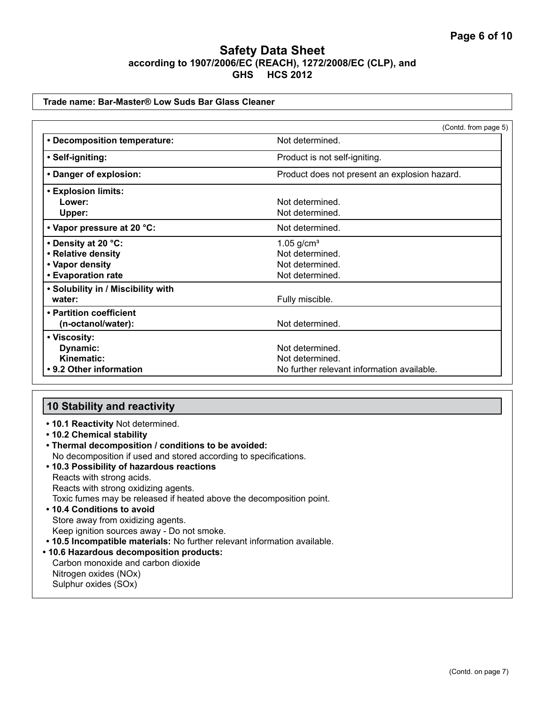#### **Trade name: Bar-Master® Low Suds Bar Glass Cleaner**

|                                    | (Contd. from page 5)                          |
|------------------------------------|-----------------------------------------------|
| • Decomposition temperature:       | Not determined.                               |
| • Self-igniting:                   | Product is not self-igniting.                 |
| • Danger of explosion:             | Product does not present an explosion hazard. |
| <b>• Explosion limits:</b>         |                                               |
| Lower:                             | Not determined.                               |
| Upper:                             | Not determined.                               |
| • Vapor pressure at 20 °C:         | Not determined.                               |
| • Density at 20 °C:                | $1.05$ g/cm <sup>3</sup>                      |
| • Relative density                 | Not determined.                               |
| • Vapor density                    | Not determined.                               |
| • Evaporation rate                 | Not determined.                               |
| • Solubility in / Miscibility with |                                               |
| water:                             | Fully miscible.                               |
| • Partition coefficient            |                                               |
| (n-octanol/water):                 | Not determined.                               |
| • Viscosity:                       |                                               |
| Dynamic:                           | Not determined.                               |
| Kinematic:                         | Not determined.                               |
| • 9.2 Other information            | No further relevant information available.    |

#### **10 Stability and reactivity**

- **10.1 Reactivity** Not determined.
- **10.2 Chemical stability**
- **Thermal decomposition / conditions to be avoided:** No decomposition if used and stored according to specifications.
- **10.3 Possibility of hazardous reactions** Reacts with strong acids. Reacts with strong oxidizing agents. Toxic fumes may be released if heated above the decomposition point. **• 10.4 Conditions to avoid**  Store away from oxidizing agents. Keep ignition sources away - Do not smoke.
- **10.5 Incompatible materials:** No further relevant information available.
- **10.6 Hazardous decomposition products:**

Carbon monoxide and carbon dioxide Nitrogen oxides (NOx) Sulphur oxides (SOx)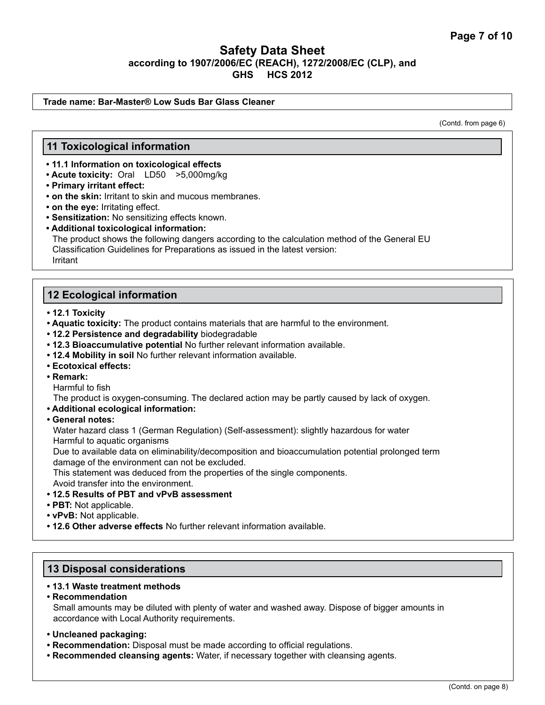#### **Trade name: Bar-Master® Low Suds Bar Glass Cleaner**

(Contd. from page 6)

#### **11 Toxicological information**

- **11.1 Information on toxicological effects**
- **Acute toxicity:** Oral LD50 >5,000mg/kg
- **Primary irritant effect:**
- **on the skin:** Irritant to skin and mucous membranes.
- **on the eye:** Irritating effect.
- **Sensitization:** No sensitizing effects known.
- **Additional toxicological information:**

The product shows the following dangers according to the calculation method of the General EU Classification Guidelines for Preparations as issued in the latest version: Irritant

### **12 Ecological information**

- **12.1 Toxicity**
- **Aquatic toxicity:** The product contains materials that are harmful to the environment.
- **12.2 Persistence and degradability** biodegradable
- **12.3 Bioaccumulative potential** No further relevant information available.
- **12.4 Mobility in soil** No further relevant information available.
- **Ecotoxical effects:**
- **Remark:**

Harmful to fish

The product is oxygen-consuming. The declared action may be partly caused by lack of oxygen.

- **Additional ecological information:**
- **General notes:**

Water hazard class 1 (German Regulation) (Self-assessment): slightly hazardous for water Harmful to aquatic organisms

Due to available data on eliminability/decomposition and bioaccumulation potential prolonged term damage of the environment can not be excluded.

This statement was deduced from the properties of the single components.

Avoid transfer into the environment.

- **12.5 Results of PBT and vPvB assessment**
- **PBT:** Not applicable.
- **vPvB:** Not applicable.
- **12.6 Other adverse effects** No further relevant information available.

#### **13 Disposal considerations**

#### **• 13.1 Waste treatment methods**

- **Recommendation** Small amounts may be diluted with plenty of water and washed away. Dispose of bigger amounts in accordance with Local Authority requirements.
- **Uncleaned packaging:**
- **Recommendation:** Disposal must be made according to official regulations.
- **Recommended cleansing agents:** Water, if necessary together with cleansing agents.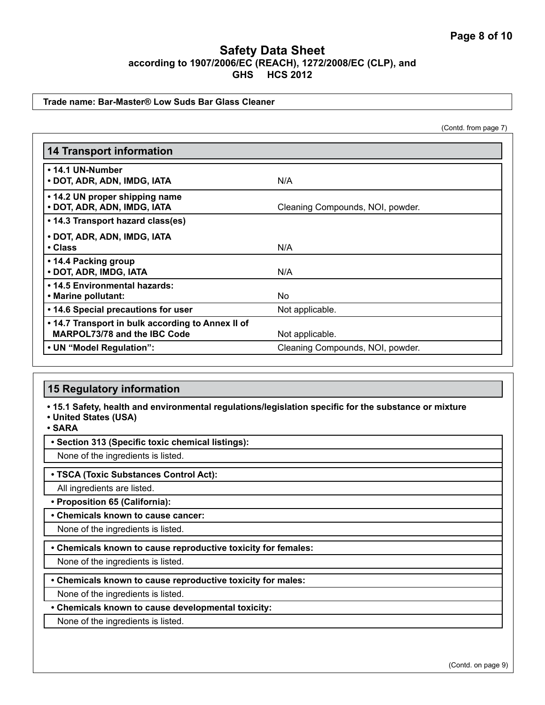#### **Trade name: Bar-Master® Low Suds Bar Glass Cleaner**

(Contd. from page 7)

| <b>14 Transport information</b>                                                   |                                  |
|-----------------------------------------------------------------------------------|----------------------------------|
| • 14.1 UN-Number<br>• DOT, ADR, ADN, IMDG, IATA                                   | N/A                              |
| • 14.2 UN proper shipping name<br>• DOT, ADR, ADN, IMDG, IATA                     | Cleaning Compounds, NOI, powder. |
| • 14.3 Transport hazard class(es)                                                 |                                  |
| • DOT, ADR, ADN, IMDG, IATA<br>$\cdot$ Class                                      | N/A                              |
| • 14.4 Packing group<br>• DOT, ADR, IMDG, IATA                                    | N/A                              |
| . 14.5 Environmental hazards:<br>• Marine pollutant:                              | N <sub>o</sub>                   |
| • 14.6 Special precautions for user                                               | Not applicable.                  |
| • 14.7 Transport in bulk according to Annex II of<br>MARPOL73/78 and the IBC Code | Not applicable.                  |
| • UN "Model Regulation":                                                          | Cleaning Compounds, NOI, powder. |

## **15 Regulatory information**

**• 15.1 Safety, health and environmental regulations/legislation specific for the substance or mixture**

**• United States (USA)**

**• SARA**

#### **• Section 313 (Specific toxic chemical listings):**

None of the ingredients is listed.

#### **• TSCA (Toxic Substances Control Act):**

All ingredients are listed.

**• Proposition 65 (California):**

#### **• Chemicals known to cause cancer:**

None of the ingredients is listed.

**• Chemicals known to cause reproductive toxicity for females:**

None of the ingredients is listed.

**• Chemicals known to cause reproductive toxicity for males:**

None of the ingredients is listed.

**• Chemicals known to cause developmental toxicity:**

None of the ingredients is listed.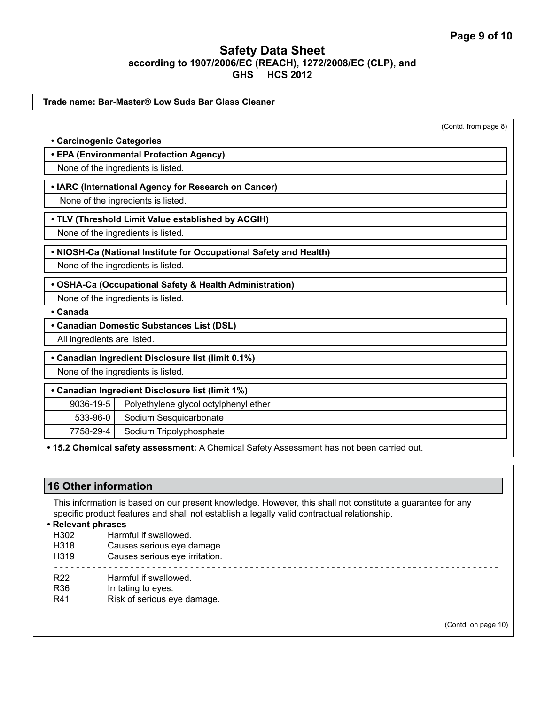|                             | Trade name: Bar-Master® Low Suds Bar Glass Cleaner                 |                      |  |
|-----------------------------|--------------------------------------------------------------------|----------------------|--|
|                             |                                                                    | (Contd. from page 8) |  |
| • Carcinogenic Categories   |                                                                    |                      |  |
|                             | • EPA (Environmental Protection Agency)                            |                      |  |
|                             | None of the ingredients is listed.                                 |                      |  |
|                             | • IARC (International Agency for Research on Cancer)               |                      |  |
|                             | None of the ingredients is listed.                                 |                      |  |
|                             | . TLV (Threshold Limit Value established by ACGIH)                 |                      |  |
|                             | None of the ingredients is listed.                                 |                      |  |
|                             | . NIOSH-Ca (National Institute for Occupational Safety and Health) |                      |  |
|                             |                                                                    |                      |  |
|                             |                                                                    |                      |  |
|                             | None of the ingredients is listed.                                 |                      |  |
|                             | • OSHA-Ca (Occupational Safety & Health Administration)            |                      |  |
|                             | None of the ingredients is listed.                                 |                      |  |
| • Canada                    |                                                                    |                      |  |
|                             | • Canadian Domestic Substances List (DSL)                          |                      |  |
| All ingredients are listed. |                                                                    |                      |  |
|                             | • Canadian Ingredient Disclosure list (limit 0.1%)                 |                      |  |
|                             | None of the ingredients is listed.                                 |                      |  |
|                             | • Canadian Ingredient Disclosure list (limit 1%)                   |                      |  |
| 9036-19-5                   | Polyethylene glycol octylphenyl ether                              |                      |  |
| 533-96-0                    | Sodium Sesquicarbonate                                             |                      |  |

# **16 Other information**

This information is based on our present knowledge. However, this shall not constitute a guarantee for any specific product features and shall not establish a legally valid contractual relationship.

| Harmful if swallowed.          |                     |
|--------------------------------|---------------------|
| Causes serious eye damage.     |                     |
| Causes serious eye irritation. |                     |
| Harmful if swallowed.          |                     |
| Irritating to eyes.            |                     |
| Risk of serious eye damage.    |                     |
|                                | (Contd. on page 10) |
|                                | • Relevant phrases  |